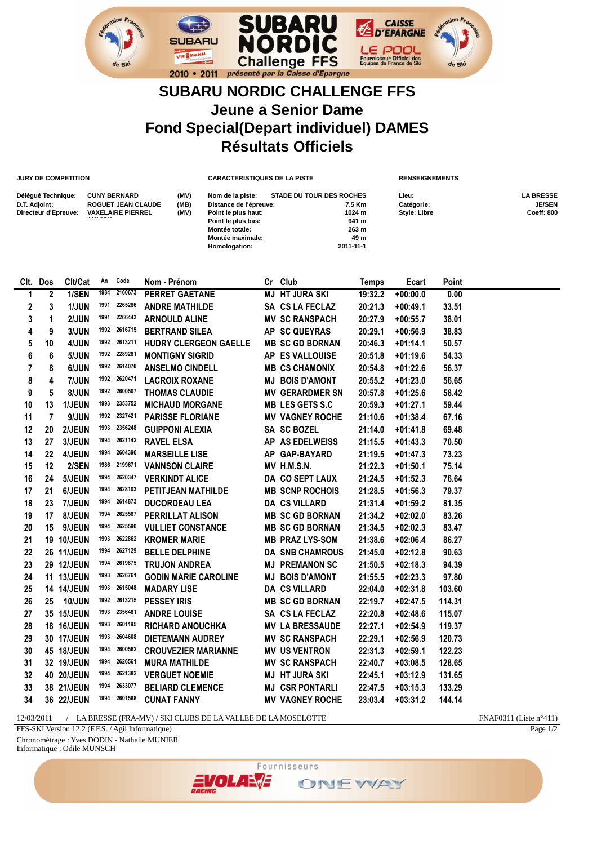

## **SUBARU NORDIC CHALLENGE FFS Jeune a Senior Dame Fond Special(Depart individuel) DAMES Résultats Officiels**

**JURY DE COMPETITION CARACTERISTIQUES DE LA PISTE RENSEIGNEMENTS**

| Délégué Technique:<br>D.T. Adjoint:<br>Directeur d'Epreuve: | <b>CUNY BERNARD</b><br>ROGUET JEAN CLAUDE<br><b>VAXELAIRE PIERREL</b><br>. | (MV)<br>(MB)<br>(MV) | Nom de la piste:<br>Distance de l'épreuve:<br>Point le plus haut:<br>Point le plus bas:<br>Montée totale:<br>Montée maximale:<br>Homologation: | <b>STADE DU TOUR DES ROCHES</b><br>7.5 Km<br>1024 m<br>941 m<br>263 m<br>49 m<br>2011-11-1 | Lieu:<br>Catégorie:<br><b>Style: Libre</b> | <b>LA BRESSE</b><br><b>JE/SEN</b><br><b>Coeff: 800</b> |
|-------------------------------------------------------------|----------------------------------------------------------------------------|----------------------|------------------------------------------------------------------------------------------------------------------------------------------------|--------------------------------------------------------------------------------------------|--------------------------------------------|--------------------------------------------------------|
|-------------------------------------------------------------|----------------------------------------------------------------------------|----------------------|------------------------------------------------------------------------------------------------------------------------------------------------|--------------------------------------------------------------------------------------------|--------------------------------------------|--------------------------------------------------------|

| Clt. Dos       |    | Clt/Cat           | An   | Code         | Nom - Prénom                 | Cr Club                | <b>Temps</b> | Ecart      | Point  |
|----------------|----|-------------------|------|--------------|------------------------------|------------------------|--------------|------------|--------|
| 1              | 2  | 1/SEN             | 1984 | 2160673      | <b>PERRET GAETANE</b>        | <b>MJ HT JURA SKI</b>  | 19:32.2      | $+00:00.0$ | 0.00   |
| 2              | 3  | 1/JUN             | 1991 | 2265286      | <b>ANDRE MATHILDE</b>        | SA CS LA FECLAZ        | 20:21.3      | $+00:49.1$ | 33.51  |
| 3              | 1  | 2/JUN             | 1991 | 2266443      | <b>ARNOULD ALINE</b>         | <b>MV SC RANSPACH</b>  | 20:27.9      | $+00:55.7$ | 38.01  |
| 4              | 9  | 3/JUN             | 1992 | 2616715      | <b>BERTRAND SILEA</b>        | AP SC QUEYRAS          | 20:29.1      | $+00:56.9$ | 38.83  |
| 5              | 10 | 4/JUN             | 1992 | 2613211      | <b>HUDRY CLERGEON GAELLE</b> | <b>MB SC GD BORNAN</b> | 20:46.3      | $+01:14.1$ | 50.57  |
| 6              | 6  | 5/JUN             | 1992 | 2289281      | <b>MONTIGNY SIGRID</b>       | AP ES VALLOUISE        | 20:51.8      | $+01:19.6$ | 54.33  |
| $\overline{7}$ | 8  | 6/JUN             | 1992 | 2614070      | <b>ANSELMO CINDELL</b>       | <b>MB CS CHAMONIX</b>  | 20:54.8      | $+01:22.6$ | 56.37  |
| 8              | 4  | 7/JUN             |      | 1992 2620471 | <b>LACROIX ROXANE</b>        | <b>MJ BOIS D'AMONT</b> | 20:55.2      | $+01:23.0$ | 56.65  |
| 9              | 5  | 8/JUN             | 1992 | 2600507      | <b>THOMAS CLAUDIE</b>        | <b>MV GERARDMER SN</b> | 20:57.8      | $+01:25.6$ | 58.42  |
| 10             | 13 | 1/JEUN            | 1993 | 2353752      | <b>MICHAUD MORGANE</b>       | <b>MB LES GETS S.C</b> | 20:59.3      | $+01:27.1$ | 59.44  |
| 11             | 7  | 9/JUN             | 1992 | 2327421      | <b>PARISSE FLORIANE</b>      | <b>MV VAGNEY ROCHE</b> | 21:10.6      | $+01:38.4$ | 67.16  |
| 12             | 20 | 2/JEUN            | 1993 | 2356248      | <b>GUIPPONI ALEXIA</b>       | SA SC BOZEL            | 21:14.0      | $+01:41.8$ | 69.48  |
| 13             | 27 | 3/JEUN            | 1994 | 2621142      | <b>RAVEL ELSA</b>            | AP AS EDELWEISS        | 21:15.5      | $+01:43.3$ | 70.50  |
| 14             | 22 | 4/JEUN            | 1994 | 2604396      | <b>MARSEILLE LISE</b>        | AP GAP-BAYARD          | 21:19.5      | $+01:47.3$ | 73.23  |
| 15             | 12 | 2/SEN             | 1986 | 2199671      | <b>VANNSON CLAIRE</b>        | MV H.M.S.N.            | 21:22.3      | $+01:50.1$ | 75.14  |
| 16             | 24 | 5/JEUN            | 1994 | 2620347      | <b>VERKINDT ALICE</b>        | DA CO SEPT LAUX        | 21:24.5      | $+01:52.3$ | 76.64  |
| 17             | 21 | 6/JEUN            | 1994 | 2628103      | <b>PETITJEAN MATHILDE</b>    | <b>MB SCNP ROCHOIS</b> | 21:28.5      | $+01:56.3$ | 79.37  |
| 18             | 23 | 7/JEUN            | 1994 | 2614873      | <b>DUCORDEAU LEA</b>         | <b>DA CS VILLARD</b>   | 21:31.4      | $+01:59.2$ | 81.35  |
| 19             | 17 | 8/JEUN            | 1994 | 2625587      | PERRILLAT ALISON             | <b>MB SC GD BORNAN</b> | 21:34.2      | $+02:02.0$ | 83.26  |
| 20             | 15 | 9/JEUN            | 1994 | 2625590      | <b>VULLIET CONSTANCE</b>     | <b>MB SC GD BORNAN</b> | 21:34.5      | $+02:02.3$ | 83.47  |
| 21             |    | 19 10/JEUN        | 1993 | 2622862      | <b>KROMER MARIE</b>          | <b>MB PRAZ LYS-SOM</b> | 21:38.6      | $+02:06.4$ | 86.27  |
| 22             |    | <b>26 11/JEUN</b> | 1994 | 2627129      | <b>BELLE DELPHINE</b>        | <b>DA SNB CHAMROUS</b> | 21:45.0      | $+02:12.8$ | 90.63  |
| 23             |    | 29 12/JEUN        | 1994 | 2619875      | <b>TRUJON ANDREA</b>         | <b>MJ PREMANON SC</b>  | 21:50.5      | $+02:18.3$ | 94.39  |
| 24             |    | 11 13/JEUN        | 1993 | 2626761      | <b>GODIN MARIE CAROLINE</b>  | <b>MJ BOIS D'AMONT</b> | 21:55.5      | $+02:23.3$ | 97.80  |
| 25             |    | 14 14/JEUN        | 1993 | 2615048      | <b>MADARY LISE</b>           | <b>DA CS VILLARD</b>   | 22:04.0      | $+02:31.8$ | 103.60 |
| 26             | 25 | <b>10/JUN</b>     | 1992 | 2613215      | <b>PESSEY IRIS</b>           | <b>MB SC GD BORNAN</b> | 22:19.7      | $+02:47.5$ | 114.31 |
| 27             |    | 35 15/JEUN        | 1993 | 2356481      | <b>ANDRE LOUISE</b>          | SA CS LA FECLAZ        | 22:20.8      | $+02:48.6$ | 115.07 |
| 28             |    | 18 16/JEUN        | 1993 | 2601195      | <b>RICHARD ANOUCHKA</b>      | <b>MV LA BRESSAUDE</b> | 22:27.1      | $+02:54.9$ | 119.37 |
| 29             |    | 30 17/JEUN        | 1993 | 2604608      | <b>DIETEMANN AUDREY</b>      | <b>MV SC RANSPACH</b>  | 22:29.1      | $+02:56.9$ | 120.73 |
| 30             |    | 45 18/JEUN        | 1994 | 2600562      | <b>CROUVEZIER MARIANNE</b>   | <b>MV US VENTRON</b>   | 22:31.3      | $+02:59.1$ | 122.23 |
| 31             |    | 32 19/JEUN        | 1994 | 2626561      | <b>MURA MATHILDE</b>         | <b>MV SC RANSPACH</b>  | 22:40.7      | $+03:08.5$ | 128.65 |
| 32             |    | 40 20/JEUN        | 1994 | 2621382      | <b>VERGUET NOEMIE</b>        | <b>MJ HT JURA SKI</b>  | 22:45.1      | $+03:12.9$ | 131.65 |
| 33             |    | 38 21/JEUN        | 1994 | 2633077      | <b>BELIARD CLEMENCE</b>      | <b>MJ CSR PONTARLI</b> | 22:47.5      | $+03:15.3$ | 133.29 |
| 34             |    | 36 22/JEUN        |      | 1994 2601588 | <b>CUNAT FANNY</b>           | <b>MV VAGNEY ROCHE</b> | 23:03.4      | $+03:31.2$ | 144.14 |
|                |    |                   |      |              |                              |                        |              |            |        |

12/03/2011 / LA BRESSE (FRA-MV) / SKI CLUBS DE LA VALLEE DE LA MOSELOTTE FNAF0311 (Liste n°411)

FFS-SKI Version 12.2 (F.F.S. / Agil Informatique)

Chronométrage : Yves DODIN - Nathalie MUNIER Informatique : Odile MUNSCH



Page 1/2